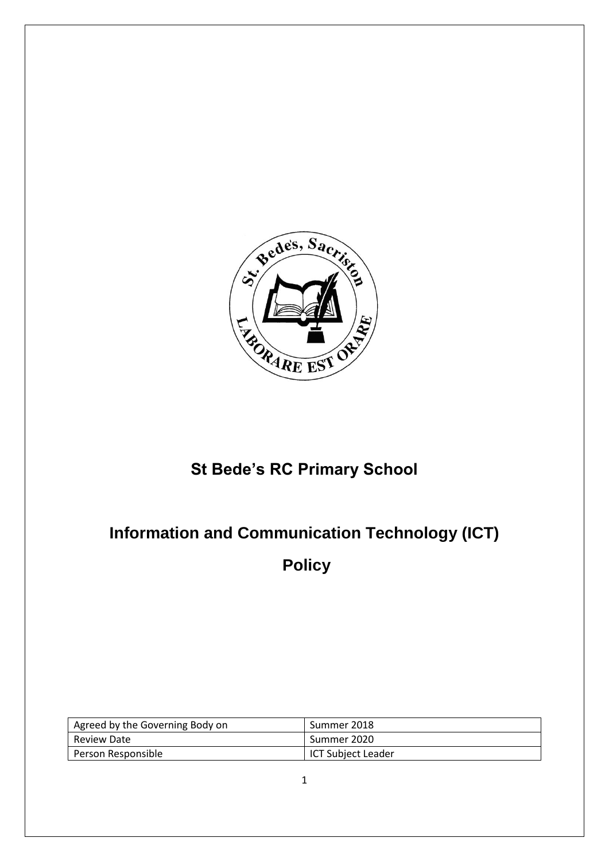

# **St Bede's RC Primary School**

# **Information and Communication Technology (ICT)**

**Policy**

| Agreed by the Governing Body on | Summer 2018        |
|---------------------------------|--------------------|
| Review Date                     | Summer 2020        |
| Person Responsible              | ICT Subject Leader |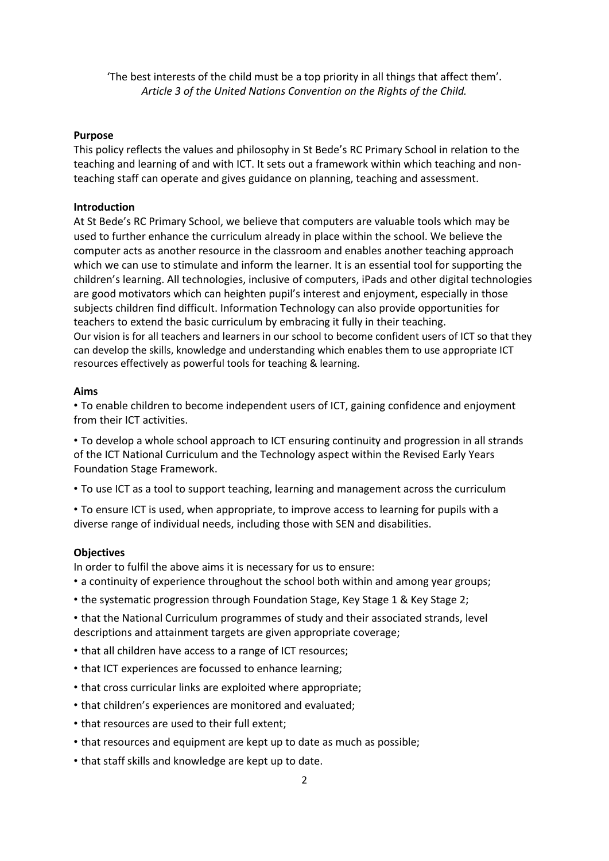'The best interests of the child must be a top priority in all things that affect them'. *Article 3 of the United Nations Convention on the Rights of the Child.*

#### **Purpose**

This policy reflects the values and philosophy in St Bede's RC Primary School in relation to the teaching and learning of and with ICT. It sets out a framework within which teaching and nonteaching staff can operate and gives guidance on planning, teaching and assessment.

#### **Introduction**

At St Bede's RC Primary School, we believe that computers are valuable tools which may be used to further enhance the curriculum already in place within the school. We believe the computer acts as another resource in the classroom and enables another teaching approach which we can use to stimulate and inform the learner. It is an essential tool for supporting the children's learning. All technologies, inclusive of computers, iPads and other digital technologies are good motivators which can heighten pupil's interest and enjoyment, especially in those subjects children find difficult. Information Technology can also provide opportunities for teachers to extend the basic curriculum by embracing it fully in their teaching. Our vision is for all teachers and learners in our school to become confident users of ICT so that they can develop the skills, knowledge and understanding which enables them to use appropriate ICT resources effectively as powerful tools for teaching & learning.

#### **Aims**

• To enable children to become independent users of ICT, gaining confidence and enjoyment from their ICT activities.

• To develop a whole school approach to ICT ensuring continuity and progression in all strands of the ICT National Curriculum and the Technology aspect within the Revised Early Years Foundation Stage Framework.

• To use ICT as a tool to support teaching, learning and management across the curriculum

• To ensure ICT is used, when appropriate, to improve access to learning for pupils with a diverse range of individual needs, including those with SEN and disabilities.

#### **Objectives**

In order to fulfil the above aims it is necessary for us to ensure:

- a continuity of experience throughout the school both within and among year groups;
- the systematic progression through Foundation Stage, Key Stage 1 & Key Stage 2;

• that the National Curriculum programmes of study and their associated strands, level descriptions and attainment targets are given appropriate coverage;

- that all children have access to a range of ICT resources;
- that ICT experiences are focussed to enhance learning;
- that cross curricular links are exploited where appropriate;
- that children's experiences are monitored and evaluated;
- that resources are used to their full extent;
- that resources and equipment are kept up to date as much as possible;
- that staff skills and knowledge are kept up to date.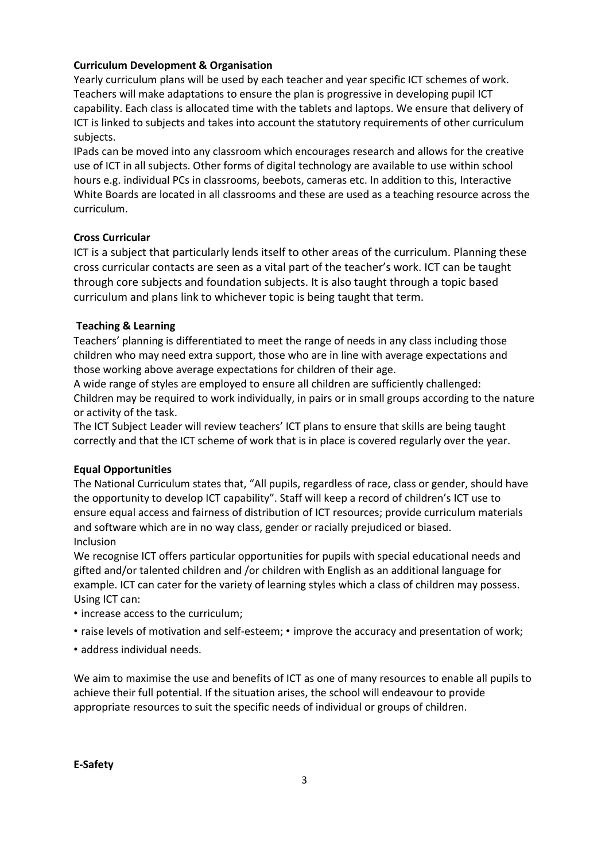# **Curriculum Development & Organisation**

Yearly curriculum plans will be used by each teacher and year specific ICT schemes of work. Teachers will make adaptations to ensure the plan is progressive in developing pupil ICT capability. Each class is allocated time with the tablets and laptops. We ensure that delivery of ICT is linked to subjects and takes into account the statutory requirements of other curriculum subjects.

IPads can be moved into any classroom which encourages research and allows for the creative use of ICT in all subjects. Other forms of digital technology are available to use within school hours e.g. individual PCs in classrooms, beebots, cameras etc. In addition to this, Interactive White Boards are located in all classrooms and these are used as a teaching resource across the curriculum.

## **Cross Curricular**

ICT is a subject that particularly lends itself to other areas of the curriculum. Planning these cross curricular contacts are seen as a vital part of the teacher's work. ICT can be taught through core subjects and foundation subjects. It is also taught through a topic based curriculum and plans link to whichever topic is being taught that term.

## **Teaching & Learning**

Teachers' planning is differentiated to meet the range of needs in any class including those children who may need extra support, those who are in line with average expectations and those working above average expectations for children of their age.

A wide range of styles are employed to ensure all children are sufficiently challenged: Children may be required to work individually, in pairs or in small groups according to the nature or activity of the task.

The ICT Subject Leader will review teachers' ICT plans to ensure that skills are being taught correctly and that the ICT scheme of work that is in place is covered regularly over the year.

#### **Equal Opportunities**

The National Curriculum states that, "All pupils, regardless of race, class or gender, should have the opportunity to develop ICT capability". Staff will keep a record of children's ICT use to ensure equal access and fairness of distribution of ICT resources; provide curriculum materials and software which are in no way class, gender or racially prejudiced or biased. Inclusion

We recognise ICT offers particular opportunities for pupils with special educational needs and gifted and/or talented children and /or children with English as an additional language for example. ICT can cater for the variety of learning styles which a class of children may possess. Using ICT can:

- increase access to the curriculum;
- raise levels of motivation and self-esteem; improve the accuracy and presentation of work;
- address individual needs.

We aim to maximise the use and benefits of ICT as one of many resources to enable all pupils to achieve their full potential. If the situation arises, the school will endeavour to provide appropriate resources to suit the specific needs of individual or groups of children.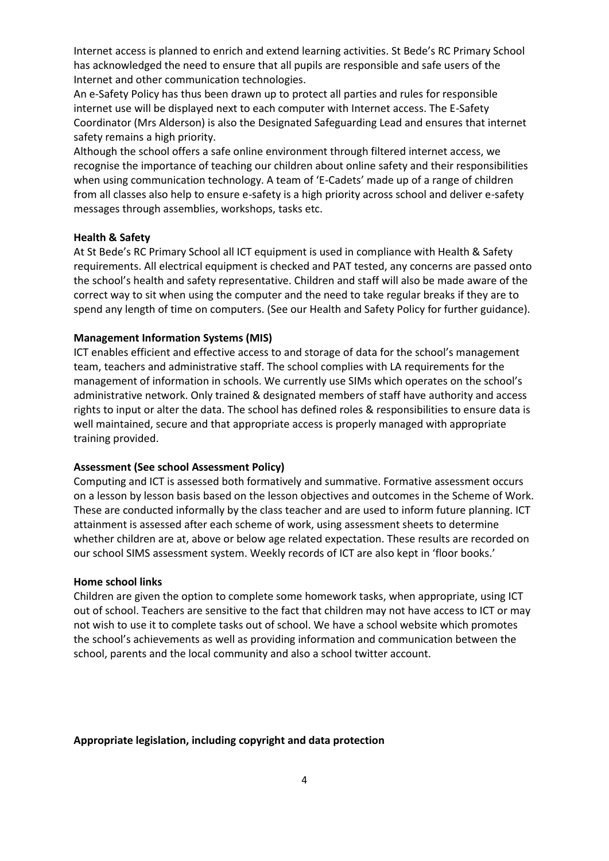Internet access is planned to enrich and extend learning activities. St Bede's RC Primary School has acknowledged the need to ensure that all pupils are responsible and safe users of the Internet and other communication technologies.

An e-Safety Policy has thus been drawn up to protect all parties and rules for responsible internet use will be displayed next to each computer with Internet access. The E-Safety Coordinator (Mrs Alderson) is also the Designated Safeguarding Lead and ensures that internet safety remains a high priority.

Although the school offers a safe online environment through filtered internet access, we recognise the importance of teaching our children about online safety and their responsibilities when using communication technology. A team of 'E-Cadets' made up of a range of children from all classes also help to ensure e-safety is a high priority across school and deliver e-safety messages through assemblies, workshops, tasks etc.

#### **Health & Safety**

At St Bede's RC Primary School all ICT equipment is used in compliance with Health & Safety requirements. All electrical equipment is checked and PAT tested, any concerns are passed onto the school's health and safety representative. Children and staff will also be made aware of the correct way to sit when using the computer and the need to take regular breaks if they are to spend any length of time on computers. (See our Health and Safety Policy for further guidance).

#### **Management Information Systems (MIS)**

ICT enables efficient and effective access to and storage of data for the school's management team, teachers and administrative staff. The school complies with LA requirements for the management of information in schools. We currently use SIMs which operates on the school's administrative network. Only trained & designated members of staff have authority and access rights to input or alter the data. The school has defined roles & responsibilities to ensure data is well maintained, secure and that appropriate access is properly managed with appropriate training provided.

#### **Assessment (See school Assessment Policy)**

Computing and ICT is assessed both formatively and summative. Formative assessment occurs on a lesson by lesson basis based on the lesson objectives and outcomes in the Scheme of Work. These are conducted informally by the class teacher and are used to inform future planning. ICT attainment is assessed after each scheme of work, using assessment sheets to determine whether children are at, above or below age related expectation. These results are recorded on our school SIMS assessment system. Weekly records of ICT are also kept in 'floor books.'

#### **Home school links**

Children are given the option to complete some homework tasks, when appropriate, using ICT out of school. Teachers are sensitive to the fact that children may not have access to ICT or may not wish to use it to complete tasks out of school. We have a school website which promotes the school's achievements as well as providing information and communication between the school, parents and the local community and also a school twitter account.

#### **Appropriate legislation, including copyright and data protection**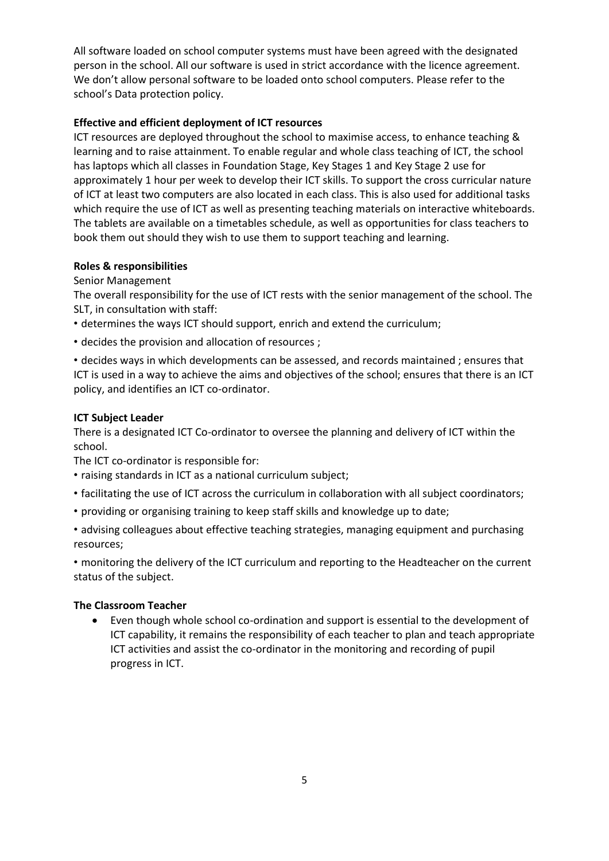All software loaded on school computer systems must have been agreed with the designated person in the school. All our software is used in strict accordance with the licence agreement. We don't allow personal software to be loaded onto school computers. Please refer to the school's Data protection policy.

# **Effective and efficient deployment of ICT resources**

ICT resources are deployed throughout the school to maximise access, to enhance teaching & learning and to raise attainment. To enable regular and whole class teaching of ICT, the school has laptops which all classes in Foundation Stage, Key Stages 1 and Key Stage 2 use for approximately 1 hour per week to develop their ICT skills. To support the cross curricular nature of ICT at least two computers are also located in each class. This is also used for additional tasks which require the use of ICT as well as presenting teaching materials on interactive whiteboards. The tablets are available on a timetables schedule, as well as opportunities for class teachers to book them out should they wish to use them to support teaching and learning.

# **Roles & responsibilities**

# Senior Management

The overall responsibility for the use of ICT rests with the senior management of the school. The SLT, in consultation with staff:

- determines the ways ICT should support, enrich and extend the curriculum;
- decides the provision and allocation of resources ;

• decides ways in which developments can be assessed, and records maintained ; ensures that ICT is used in a way to achieve the aims and objectives of the school; ensures that there is an ICT policy, and identifies an ICT co-ordinator.

# **ICT Subject Leader**

There is a designated ICT Co-ordinator to oversee the planning and delivery of ICT within the school.

The ICT co-ordinator is responsible for:

- raising standards in ICT as a national curriculum subject;
- facilitating the use of ICT across the curriculum in collaboration with all subject coordinators;
- providing or organising training to keep staff skills and knowledge up to date;

• advising colleagues about effective teaching strategies, managing equipment and purchasing resources;

• monitoring the delivery of the ICT curriculum and reporting to the Headteacher on the current status of the subject.

# **The Classroom Teacher**

 Even though whole school co-ordination and support is essential to the development of ICT capability, it remains the responsibility of each teacher to plan and teach appropriate ICT activities and assist the co-ordinator in the monitoring and recording of pupil progress in ICT.